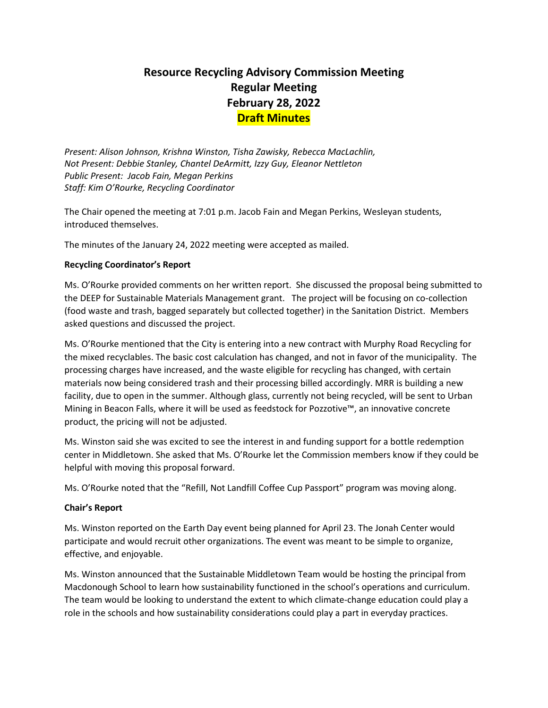# **Resource Recycling Advisory Commission Meeting Regular Meeting February 28, 2022 Draft Minutes**

*Present: Alison Johnson, Krishna Winston, Tisha Zawisky, Rebecca MacLachlin, Not Present: Debbie Stanley, Chantel DeArmitt, Izzy Guy, Eleanor Nettleton Public Present: Jacob Fain, Megan Perkins Staff: Kim O'Rourke, Recycling Coordinator* 

The Chair opened the meeting at 7:01 p.m. Jacob Fain and Megan Perkins, Wesleyan students, introduced themselves.

The minutes of the January 24, 2022 meeting were accepted as mailed.

# **Recycling Coordinator's Report**

Ms. O'Rourke provided comments on her written report. She discussed the proposal being submitted to the DEEP for Sustainable Materials Management grant. The project will be focusing on co-collection (food waste and trash, bagged separately but collected together) in the Sanitation District. Members asked questions and discussed the project.

Ms. O'Rourke mentioned that the City is entering into a new contract with Murphy Road Recycling for the mixed recyclables. The basic cost calculation has changed, and not in favor of the municipality. The processing charges have increased, and the waste eligible for recycling has changed, with certain materials now being considered trash and their processing billed accordingly. MRR is building a new facility, due to open in the summer. Although glass, currently not being recycled, will be sent to Urban Mining in Beacon Falls, where it will be used as feedstock for Pozzotive™, an innovative concrete product, the pricing will not be adjusted.

Ms. Winston said she was excited to see the interest in and funding support for a bottle redemption center in Middletown. She asked that Ms. O'Rourke let the Commission members know if they could be helpful with moving this proposal forward.

Ms. O'Rourke noted that the "Refill, Not Landfill Coffee Cup Passport" program was moving along.

# **Chair's Report**

Ms. Winston reported on the Earth Day event being planned for April 23. The Jonah Center would participate and would recruit other organizations. The event was meant to be simple to organize, effective, and enjoyable.

Ms. Winston announced that the Sustainable Middletown Team would be hosting the principal from Macdonough School to learn how sustainability functioned in the school's operations and curriculum. The team would be looking to understand the extent to which climate-change education could play a role in the schools and how sustainability considerations could play a part in everyday practices.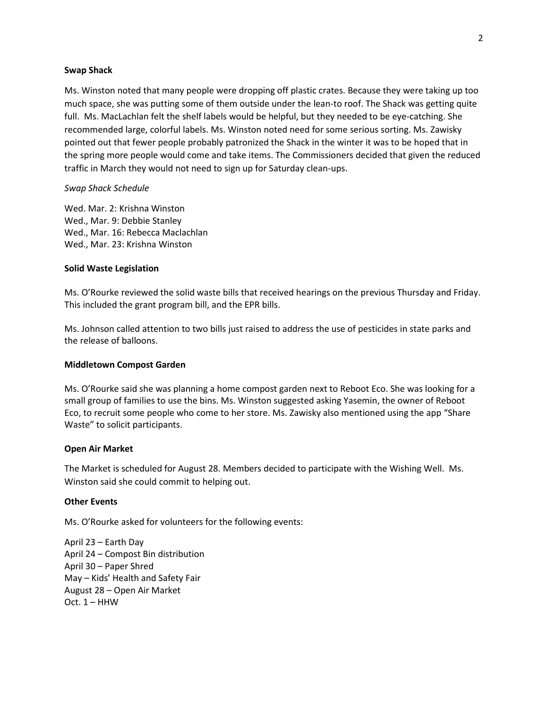#### **Swap Shack**

Ms. Winston noted that many people were dropping off plastic crates. Because they were taking up too much space, she was putting some of them outside under the lean-to roof. The Shack was getting quite full. Ms. MacLachlan felt the shelf labels would be helpful, but they needed to be eye-catching. She recommended large, colorful labels. Ms. Winston noted need for some serious sorting. Ms. Zawisky pointed out that fewer people probably patronized the Shack in the winter it was to be hoped that in the spring more people would come and take items. The Commissioners decided that given the reduced traffic in March they would not need to sign up for Saturday clean-ups.

#### *Swap Shack Schedule*

Wed. Mar. 2: Krishna Winston Wed., Mar. 9: Debbie Stanley Wed., Mar. 16: Rebecca Maclachlan Wed., Mar. 23: Krishna Winston

#### **Solid Waste Legislation**

Ms. O'Rourke reviewed the solid waste bills that received hearings on the previous Thursday and Friday. This included the grant program bill, and the EPR bills.

Ms. Johnson called attention to two bills just raised to address the use of pesticides in state parks and the release of balloons.

#### **Middletown Compost Garden**

Ms. O'Rourke said she was planning a home compost garden next to Reboot Eco. She was looking for a small group of families to use the bins. Ms. Winston suggested asking Yasemin, the owner of Reboot Eco, to recruit some people who come to her store. Ms. Zawisky also mentioned using the app "Share Waste" to solicit participants.

#### **Open Air Market**

The Market is scheduled for August 28. Members decided to participate with the Wishing Well. Ms. Winston said she could commit to helping out.

#### **Other Events**

Ms. O'Rourke asked for volunteers for the following events:

April 23 – Earth Day April 24 – Compost Bin distribution April 30 – Paper Shred May – Kids' Health and Safety Fair August 28 – Open Air Market  $Oct. 1 - HHW$